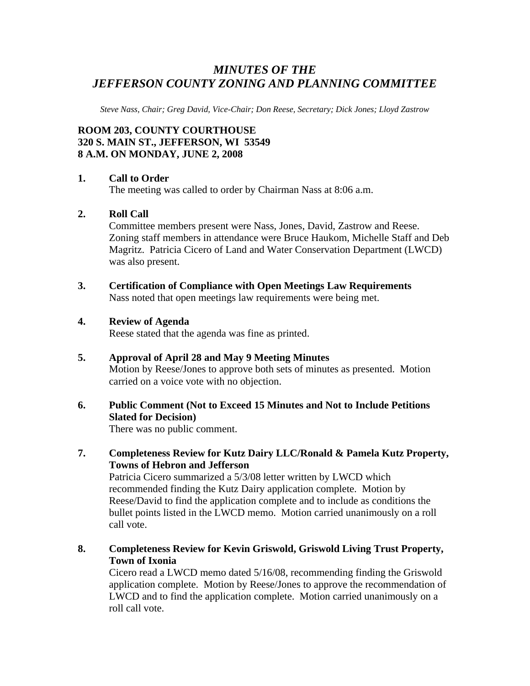# *MINUTES OF THE JEFFERSON COUNTY ZONING AND PLANNING COMMITTEE*

*Steve Nass, Chair; Greg David, Vice-Chair; Don Reese, Secretary; Dick Jones; Lloyd Zastrow* 

# **ROOM 203, COUNTY COURTHOUSE 320 S. MAIN ST., JEFFERSON, WI 53549 8 A.M. ON MONDAY, JUNE 2, 2008**

## **1. Call to Order**

The meeting was called to order by Chairman Nass at 8:06 a.m.

## **2. Roll Call**

Committee members present were Nass, Jones, David, Zastrow and Reese. Zoning staff members in attendance were Bruce Haukom, Michelle Staff and Deb Magritz. Patricia Cicero of Land and Water Conservation Department (LWCD) was also present.

**3. Certification of Compliance with Open Meetings Law Requirements**  Nass noted that open meetings law requirements were being met.

## **4. Review of Agenda**

Reese stated that the agenda was fine as printed.

# **5. Approval of April 28 and May 9 Meeting Minutes**  Motion by Reese/Jones to approve both sets of minutes as presented. Motion carried on a voice vote with no objection.

# **6. Public Comment (Not to Exceed 15 Minutes and Not to Include Petitions Slated for Decision)**

There was no public comment.

**7. Completeness Review for Kutz Dairy LLC/Ronald & Pamela Kutz Property, Towns of Hebron and Jefferson** 

Patricia Cicero summarized a 5/3/08 letter written by LWCD which recommended finding the Kutz Dairy application complete. Motion by Reese/David to find the application complete and to include as conditions the bullet points listed in the LWCD memo. Motion carried unanimously on a roll call vote.

**8. Completeness Review for Kevin Griswold, Griswold Living Trust Property, Town of Ixonia** 

Cicero read a LWCD memo dated 5/16/08, recommending finding the Griswold application complete. Motion by Reese/Jones to approve the recommendation of LWCD and to find the application complete. Motion carried unanimously on a roll call vote.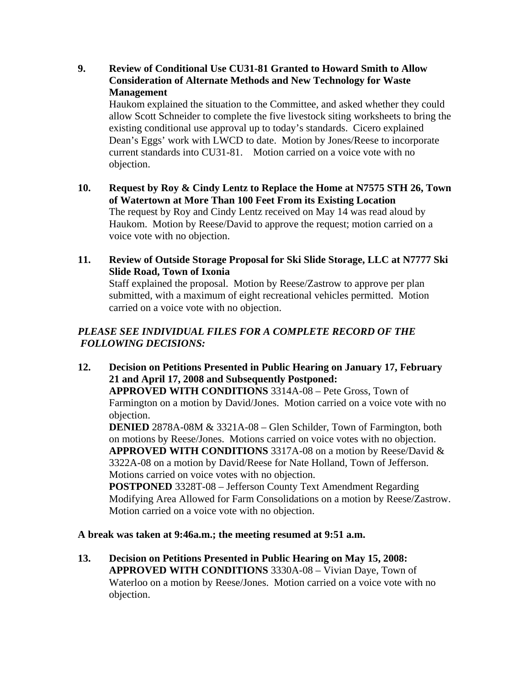**9. Review of Conditional Use CU31-81 Granted to Howard Smith to Allow Consideration of Alternate Methods and New Technology for Waste Management** 

Haukom explained the situation to the Committee, and asked whether they could allow Scott Schneider to complete the five livestock siting worksheets to bring the existing conditional use approval up to today's standards. Cicero explained Dean's Eggs' work with LWCD to date. Motion by Jones/Reese to incorporate current standards into CU31-81. Motion carried on a voice vote with no objection.

- **10. Request by Roy & Cindy Lentz to Replace the Home at N7575 STH 26, Town of Watertown at More Than 100 Feet From its Existing Location**  The request by Roy and Cindy Lentz received on May 14 was read aloud by Haukom. Motion by Reese/David to approve the request; motion carried on a voice vote with no objection.
- **11. Review of Outside Storage Proposal for Ski Slide Storage, LLC at N7777 Ski Slide Road, Town of Ixonia**

Staff explained the proposal. Motion by Reese/Zastrow to approve per plan submitted, with a maximum of eight recreational vehicles permitted. Motion carried on a voice vote with no objection.

# *PLEASE SEE INDIVIDUAL FILES FOR A COMPLETE RECORD OF THE FOLLOWING DECISIONS:*

**12. Decision on Petitions Presented in Public Hearing on January 17, February 21 and April 17, 2008 and Subsequently Postponed:** 

 **APPROVED WITH CONDITIONS** 3314A-08 – Pete Gross, Town of Farmington on a motion by David/Jones. Motion carried on a voice vote with no objection.

**DENIED** 2878A-08M & 3321A-08 – Glen Schilder, Town of Farmington, both on motions by Reese/Jones. Motions carried on voice votes with no objection. **APPROVED WITH CONDITIONS** 3317A-08 on a motion by Reese/David & 3322A-08 on a motion by David/Reese for Nate Holland, Town of Jefferson. Motions carried on voice votes with no objection.

**POSTPONED** 3328T-08 – Jefferson County Text Amendment Regarding Modifying Area Allowed for Farm Consolidations on a motion by Reese/Zastrow. Motion carried on a voice vote with no objection.

# **A break was taken at 9:46a.m.; the meeting resumed at 9:51 a.m.**

**13. Decision on Petitions Presented in Public Hearing on May 15, 2008: APPROVED WITH CONDITIONS** 3330A-08 – Vivian Daye, Town of Waterloo on a motion by Reese/Jones. Motion carried on a voice vote with no objection.